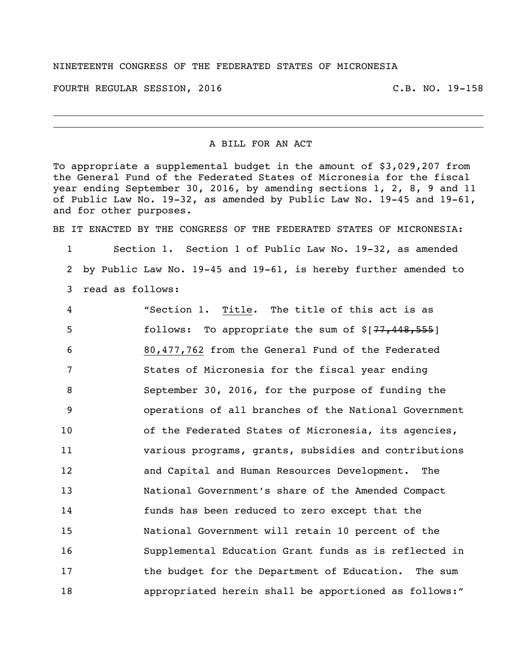## NINETEENTH CONGRESS OF THE FEDERATED STATES OF MICRONESIA

FOURTH REGULAR SESSION, 2016 C.B. NO. 19-158

## A BILL FOR AN ACT

To appropriate a supplemental budget in the amount of \$3,029,207 from the General Fund of the Federated States of Micronesia for the fiscal year ending September 30, 2016, by amending sections 1, 2, 8, 9 and 11 of Public Law No. 19-32, as amended by Public Law No. 19-45 and 19-61, and for other purposes.

BE IT ENACTED BY THE CONGRESS OF THE FEDERATED STATES OF MICRONESIA:

 Section 1. Section 1 of Public Law No. 19-32, as amended by Public Law No. 19-45 and 19-61, is hereby further amended to read as follows:

 "Section 1. Title. The title of this act is as **follows:** To appropriate the sum of \$[77,448,555] 80,477,762 from the General Fund of the Federated States of Micronesia for the fiscal year ending September 30, 2016, for the purpose of funding the operations of all branches of the National Government of the Federated States of Micronesia, its agencies, various programs, grants, subsidies and contributions and Capital and Human Resources Development. The National Government's share of the Amended Compact funds has been reduced to zero except that the National Government will retain 10 percent of the Supplemental Education Grant funds as is reflected in 17 the budget for the Department of Education. The sum appropriated herein shall be apportioned as follows:"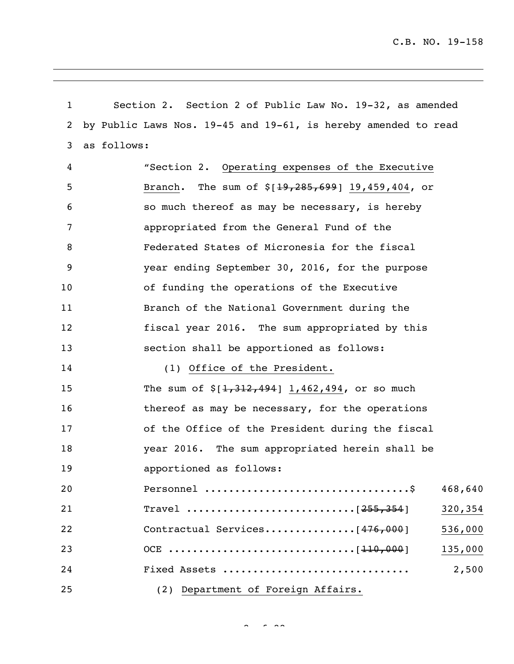| $\mathbf{1}$ |             | Section 2. Section 2 of Public Law No. 19-32, as amended       |         |
|--------------|-------------|----------------------------------------------------------------|---------|
| 2            |             | by Public Laws Nos. 19-45 and 19-61, is hereby amended to read |         |
| 3            | as follows: |                                                                |         |
| 4            |             | "Section 2. Operating expenses of the Executive                |         |
| 5            |             | Branch. The sum of $$[19, 285, 699]$ 19,459,404, or            |         |
| 6            |             | so much thereof as may be necessary, is hereby                 |         |
| 7            |             | appropriated from the General Fund of the                      |         |
| 8            |             | Federated States of Micronesia for the fiscal                  |         |
| 9            |             | year ending September 30, 2016, for the purpose                |         |
| 10           |             | of funding the operations of the Executive                     |         |
| 11           |             | Branch of the National Government during the                   |         |
| 12           |             | fiscal year 2016. The sum appropriated by this                 |         |
| 13           |             | section shall be apportioned as follows:                       |         |
| 14           |             | (1) Office of the President.                                   |         |
| 15           |             | The sum of $\S[1,312,494]$ 1,462,494, or so much               |         |
| 16           |             | thereof as may be necessary, for the operations                |         |
| 17           |             | of the Office of the President during the fiscal               |         |
| 18           |             | year 2016. The sum appropriated herein shall be                |         |
| 19           |             | apportioned as follows:                                        |         |
| 20           |             |                                                                | 468,640 |
| 21           |             |                                                                | 320,354 |
| 22           |             |                                                                | 536,000 |
| 23           |             |                                                                | 135,000 |
| 24           |             | Fixed Assets                                                   | 2,500   |
| 25           |             | (2) Department of Foreign Affairs.                             |         |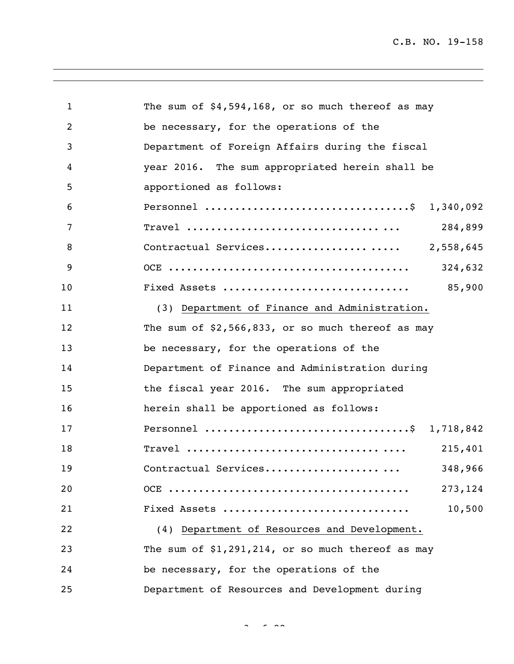| $\mathbf{1}$ | The sum of $$4,594,168$ , or so much thereof as may |
|--------------|-----------------------------------------------------|
| 2            | be necessary, for the operations of the             |
| 3            | Department of Foreign Affairs during the fiscal     |
| 4            | year 2016. The sum appropriated herein shall be     |
| 5            | apportioned as follows:                             |
| 6            | Personnel \$ 1,340,092                              |
| 7            | 284,899                                             |
| 8            |                                                     |
| 9            | 324,632                                             |
| 10           | Fixed Assets<br>85,900                              |
| 11           | (3) Department of Finance and Administration.       |
| 12           | The sum of \$2,566,833, or so much thereof as may   |
| 13           | be necessary, for the operations of the             |
| 14           | Department of Finance and Administration during     |
| 15           | the fiscal year 2016. The sum appropriated          |
| 16           | herein shall be apportioned as follows:             |
| 17           | Personnel \$ 1,718,842                              |
| 18           | 215,401                                             |
| 19           | 348,966<br>Contractual Services                     |
| 20           | 273,124                                             |
| 21           | Fixed Assets<br>10,500                              |
| 22           | (4) Department of Resources and Development.        |
| 23           | The sum of $$1,291,214$ , or so much thereof as may |
| 24           | be necessary, for the operations of the             |
| 25           | Department of Resources and Development during      |

 $\sim$  22 of 22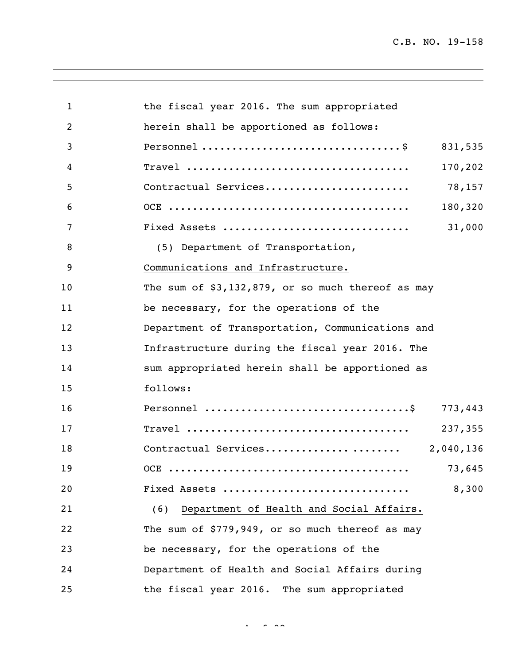| 1  | the fiscal year 2016. The sum appropriated                                     |
|----|--------------------------------------------------------------------------------|
| 2  | herein shall be apportioned as follows:                                        |
| 3  | 831,535                                                                        |
| 4  | 170,202                                                                        |
| 5  | Contractual Services<br>78,157                                                 |
| 6  | 180,320                                                                        |
| 7  | 31,000<br>Fixed Assets                                                         |
| 8  | (5) Department of Transportation,                                              |
| 9  | Communications and Infrastructure.                                             |
| 10 | The sum of $$3,132,879$ , or so much thereof as may                            |
| 11 | be necessary, for the operations of the                                        |
| 12 | Department of Transportation, Communications and                               |
| 13 | Infrastructure during the fiscal year 2016. The                                |
| 14 | sum appropriated herein shall be apportioned as                                |
| 15 | follows:                                                                       |
| 16 | Personnel $\dots\dots\dots\dots\dots\dots\dots\dots\dots\dots\dots$<br>773,443 |
| 17 | 237,355                                                                        |
| 18 | Contractual Services<br>2,040,136                                              |
| 19 | 73,645                                                                         |
| 20 | Fixed Assets<br>8,300                                                          |
| 21 | Department of Health and Social Affairs.<br>(6)                                |
| 22 | The sum of \$779,949, or so much thereof as may                                |
| 23 | be necessary, for the operations of the                                        |
| 24 | Department of Health and Social Affairs during                                 |
| 25 | the fiscal year 2016. The sum appropriated                                     |

 $4 - 22$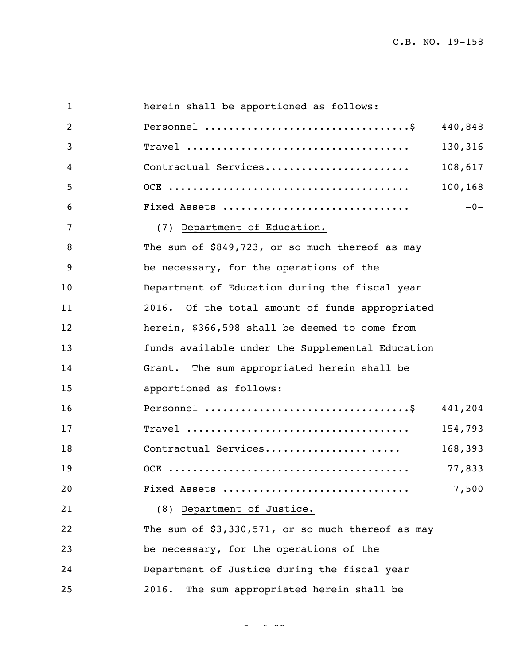| $\mathbf{1}$   | herein shall be apportioned as follows:           |         |
|----------------|---------------------------------------------------|---------|
| $\overline{2}$ |                                                   | 440,848 |
| 3              |                                                   | 130,316 |
| 4              | Contractual Services                              | 108,617 |
| 5              |                                                   | 100,168 |
| 6              | Fixed Assets                                      | $-0-$   |
| 7              | (7) Department of Education.                      |         |
| 8              | The sum of \$849,723, or so much thereof as may   |         |
| 9              | be necessary, for the operations of the           |         |
| 10             | Department of Education during the fiscal year    |         |
| 11             | 2016. Of the total amount of funds appropriated   |         |
| 12             | herein, \$366,598 shall be deemed to come from    |         |
| 13             | funds available under the Supplemental Education  |         |
| 14             | Grant. The sum appropriated herein shall be       |         |
| 15             | apportioned as follows:                           |         |
| 16             |                                                   | 441,204 |
| 17             |                                                   | 154,793 |
| 18             | Contractual Services                              | 168,393 |
| 19             | OCE.                                              | 77,833  |
| 20             | Fixed Assets                                      | 7,500   |
| 21             | (8) Department of Justice.                        |         |
| 22             | The sum of \$3,330,571, or so much thereof as may |         |
| 23             | be necessary, for the operations of the           |         |
| 24             | Department of Justice during the fiscal year      |         |
| 25             | The sum appropriated herein shall be<br>2016.     |         |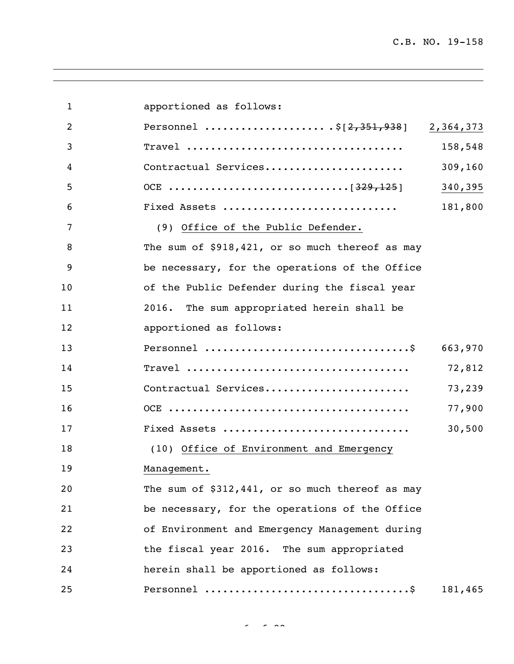| 1  | apportioned as follows:                           |         |
|----|---------------------------------------------------|---------|
| 2  | Personnel \$ [2,351,938] 2,364,373                |         |
| 3  |                                                   | 158,548 |
| 4  | Contractual Services                              | 309,160 |
| 5  |                                                   | 340,395 |
| 6  | Fixed Assets                                      | 181,800 |
| 7  | (9) Office of the Public Defender.                |         |
| 8  | The sum of \$918,421, or so much thereof as may   |         |
| 9  | be necessary, for the operations of the Office    |         |
| 10 | of the Public Defender during the fiscal year     |         |
| 11 | 2016. The sum appropriated herein shall be        |         |
| 12 | apportioned as follows:                           |         |
| 13 |                                                   | 663,970 |
| 14 |                                                   | 72,812  |
| 15 | Contractual Services                              | 73,239  |
| 16 |                                                   | 77,900  |
| 17 | Fixed Assets                                      | 30,500  |
| 18 | (10) Office of Environment and Emergency          |         |
| 19 | Management.                                       |         |
| 20 | The sum of $$312,441$ , or so much thereof as may |         |
| 21 | be necessary, for the operations of the Office    |         |
| 22 | of Environment and Emergency Management during    |         |
| 23 | the fiscal year 2016. The sum appropriated        |         |
| 24 | herein shall be apportioned as follows:           |         |
| 25 |                                                   | 181,465 |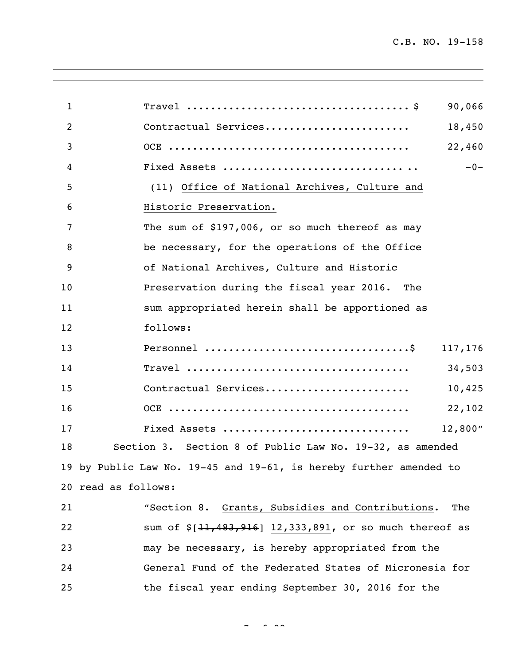| $\mathbf{1}$   | 90,066                                                             |
|----------------|--------------------------------------------------------------------|
| $\overline{2}$ | Contractual Services<br>18,450                                     |
| 3              | 22,460                                                             |
| 4              | $-0-$                                                              |
| 5              | (11) Office of National Archives, Culture and                      |
| 6              | Historic Preservation.                                             |
| 7              | The sum of \$197,006, or so much thereof as may                    |
| 8              | be necessary, for the operations of the Office                     |
| 9              | of National Archives, Culture and Historic                         |
| 10             | Preservation during the fiscal year 2016. The                      |
| 11             | sum appropriated herein shall be apportioned as                    |
| 12             | follows:                                                           |
| 13             | 117,176                                                            |
| 14             | 34,503                                                             |
| 15             | Contractual Services<br>10,425                                     |
| 16             | 22,102                                                             |
| 17             | Fixed Assets<br>12,800''                                           |
| 18             | Section 3. Section 8 of Public Law No. 19-32, as amended           |
|                | 19 by Public Law No. 19-45 and 19-61, is hereby further amended to |
|                | 20 read as follows:                                                |
| 21             | "Section 8. Grants, Subsidies and Contributions.<br>The            |
| 22             | sum of \$[11,483,916] 12,333,891, or so much thereof as            |
| 23             | may be necessary, is hereby appropriated from the                  |
| 24             | General Fund of the Federated States of Micronesia for             |
| 25             | the fiscal year ending September 30, 2016 for the                  |

 $\sim$  222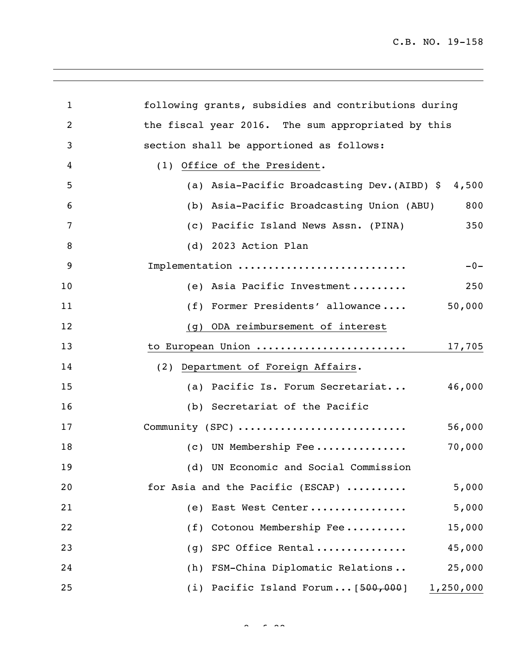| $\mathbf{1}$   | following grants, subsidies and contributions during         |
|----------------|--------------------------------------------------------------|
| $\overline{c}$ | the fiscal year 2016. The sum appropriated by this           |
| 3              | section shall be apportioned as follows:                     |
| 4              | (1) Office of the President.                                 |
| 5              | (a) Asia-Pacific Broadcasting Dev. (AIBD) \$<br>4,500        |
| 6              | (b) Asia-Pacific Broadcasting Union (ABU)<br>800             |
| 7              | Pacific Island News Assn. (PINA)<br>350<br>$\left( c\right)$ |
| 8              | (d) 2023 Action Plan                                         |
| 9              | Implementation<br>$-0-$                                      |
| 10             | (e) Asia Pacific Investment<br>250                           |
| 11             | 50,000<br>Former Presidents' allowance<br>(f)                |
| 12             | (q) ODA reimbursement of interest                            |
| 13             | to European Union<br>17,705                                  |
| 14             | (2) Department of Foreign Affairs.                           |
| 15             | (a) Pacific Is. Forum Secretariat<br>46,000                  |
| 16             | (b) Secretariat of the Pacific                               |
| 17             | Community (SPC)<br>56,000                                    |
| 18             | 70,000<br>(c) UN Membership Fee                              |
| 19             | (d) UN Economic and Social Commission                        |
| 20             | for Asia and the Pacific (ESCAP)<br>5,000                    |
| 21             | 5,000<br>East West Center<br>(e)                             |
| 22             | Cotonou Membership Fee<br>15,000<br>(f)                      |
| 23             | SPC Office Rental<br>45,000<br>(g)                           |
| 24             | FSM-China Diplomatic Relations<br>25,000<br>(h)              |
| 25             | (i) Pacific Island Forum [500,000]<br>1,250,000              |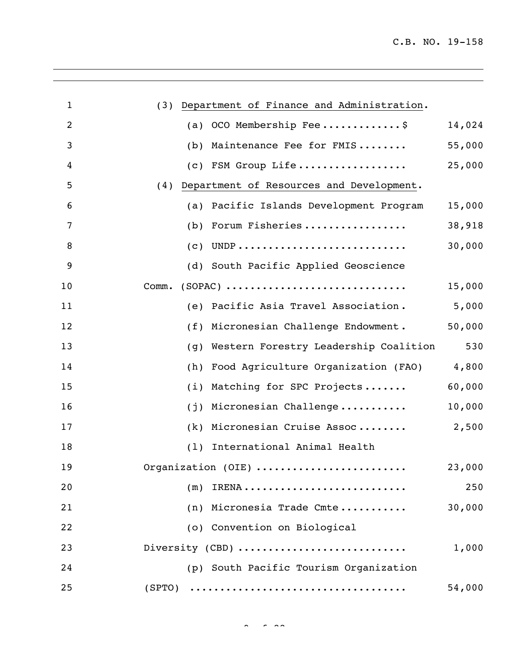| $\mathbf{1}$   | (3) Department of Finance and Administration. |        |
|----------------|-----------------------------------------------|--------|
| $\overline{2}$ | (a) OCO Membership Fee\$                      | 14,024 |
| 3              | (b) Maintenance Fee for FMIS                  | 55,000 |
| 4              | (c) FSM Group Life                            | 25,000 |
| 5              | (4) Department of Resources and Development.  |        |
| 6              | (a) Pacific Islands Development Program       | 15,000 |
| 7              | (b) Forum Fisheries                           | 38,918 |
| 8              | $(c)$ UNDP                                    | 30,000 |
| 9              | (d) South Pacific Applied Geoscience          |        |
| 10             | Comm. $(SOPAC)$                               | 15,000 |
| 11             | (e) Pacific Asia Travel Association.          | 5,000  |
| 12             | (f) Micronesian Challenge Endowment.          | 50,000 |
| 13             | (g) Western Forestry Leadership Coalition     | 530    |
| 14             | (h) Food Agriculture Organization (FAO)       | 4,800  |
| 15             | Matching for SPC Projects<br>(i)              | 60,000 |
| 16             | Micronesian Challenge<br>(j)                  | 10,000 |
| 17             | (k) Micronesian Cruise Assoc                  | 2,500  |
| 18             | International Animal Health<br>(1)            |        |
| 19             | Organization (OIE)                            | 23,000 |
| 20             | (m)                                           | 250    |
| 21             | (n) Micronesia Trade Cmte                     | 30,000 |
| 22             | (o) Convention on Biological                  |        |
| 23             | Diversity (CBD)                               | 1,000  |
| 24             | (p) South Pacific Tourism Organization        |        |
| 25             |                                               | 54,000 |

 $\sim$  222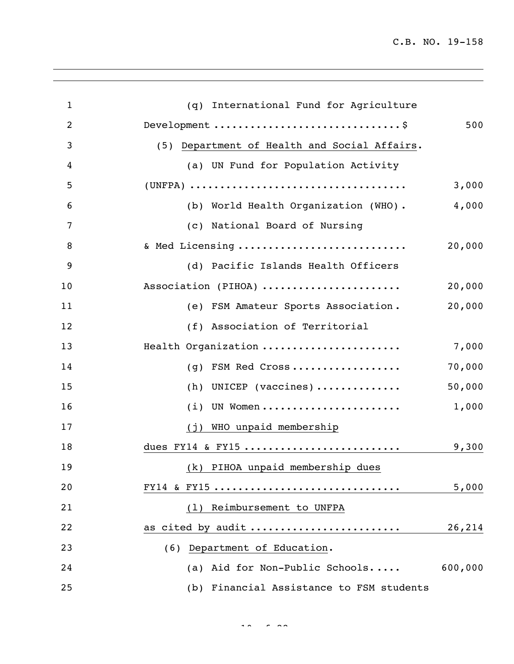| 1              | (q) International Fund for Agriculture       |         |
|----------------|----------------------------------------------|---------|
| $\overline{c}$ | Development \$                               | 500     |
| 3              | (5) Department of Health and Social Affairs. |         |
| 4              | (a) UN Fund for Population Activity          |         |
| 5              |                                              | 3,000   |
| 6              | (b) World Health Organization (WHO).         | 4,000   |
| 7              | (c) National Board of Nursing                |         |
| 8              | & Med Licensing                              | 20,000  |
| 9              | (d) Pacific Islands Health Officers          |         |
| 10             | Association (PIHOA)                          | 20,000  |
| 11             | (e) FSM Amateur Sports Association.          | 20,000  |
| 12             | (f) Association of Territorial               |         |
| 13             | Health Organization                          | 7,000   |
| 14             | FSM Red Cross<br>(q)                         | 70,000  |
| 15             | UNICEP (vaccines)<br>(h)                     | 50,000  |
| 16             | UN Women<br>(i)                              | 1,000   |
| 17             | WHO unpaid membership<br>(i)                 |         |
| 18             | dues FY14 & FY15                             | 9,300   |
| 19             | (k) PIHOA unpaid membership dues             |         |
| 20             | FY14 & FY15                                  | 5,000   |
| 21             | Reimbursement to UNFPA<br>(1)                |         |
| 22             | as cited by audit                            | 26,214  |
| 23             | (6) Department of Education.                 |         |
| 24             | (a) Aid for Non-Public Schools               | 600,000 |
| 25             | (b) Financial Assistance to FSM students     |         |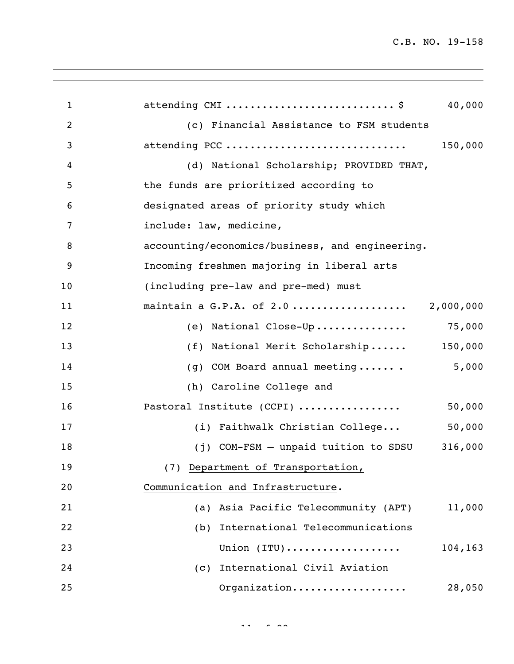| 1              | attending CMI  \$<br>40,000                     |
|----------------|-------------------------------------------------|
| $\overline{2}$ | (c) Financial Assistance to FSM students        |
| 3              | attending PCC<br>150,000                        |
| 4              | (d) National Scholarship; PROVIDED THAT,        |
| 5              | the funds are prioritized according to          |
| 6              | designated areas of priority study which        |
| 7              | include: law, medicine,                         |
| 8              | accounting/economics/business, and engineering. |
| 9              | Incoming freshmen majoring in liberal arts      |
| 10             | (including pre-law and pre-med) must            |
| 11             | maintain a G.P.A. of 2.0<br>2,000,000           |
| 12             | (e) National Close-Up<br>75,000                 |
| 13             | (f) National Merit Scholarship<br>150,000       |
| 14             | (g) COM Board annual meeting<br>5,000           |
| 15             | (h) Caroline College and                        |
| 16             | Pastoral Institute (CCPI)<br>50,000             |
| 17             | (i) Faithwalk Christian College<br>50,000       |
| 18             | (j) COM-FSM - unpaid tuition to SDSU<br>316,000 |
| 19             | Department of Transportation,<br>(7)            |
| 20             | Communication and Infrastructure.               |
| 21             | (a) Asia Pacific Telecommunity (APT)<br>11,000  |
| 22             | International Telecommunications<br>(b)         |
| 23             | Union $(TTU)$<br>104,163                        |
| 24             | International Civil Aviation<br>(C)             |
| 25             | Organization<br>28,050                          |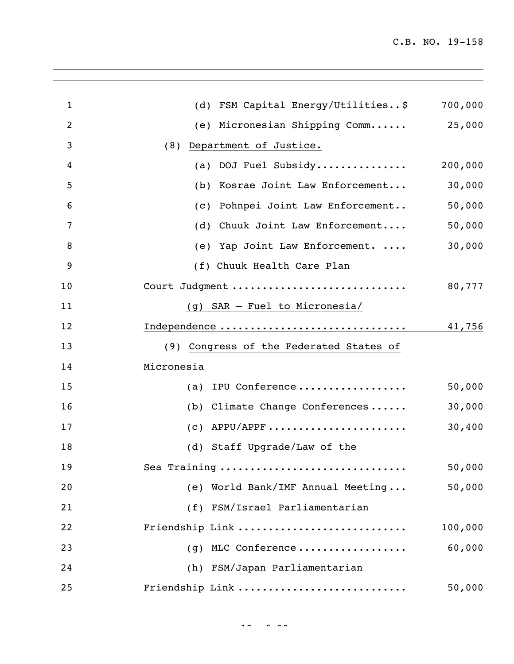| $\mathbf{1}$ | (d) FSM Capital Energy/Utilities\$      | 700,000 |
|--------------|-----------------------------------------|---------|
| 2            | (e) Micronesian Shipping Comm           | 25,000  |
| 3            | (8)<br>Department of Justice.           |         |
| 4            | (a) DOJ Fuel Subsidy                    | 200,000 |
| 5            | (b) Kosrae Joint Law Enforcement        | 30,000  |
| 6            | (c) Pohnpei Joint Law Enforcement       | 50,000  |
| 7            | (d) Chuuk Joint Law Enforcement         | 50,000  |
| 8            | (e) Yap Joint Law Enforcement.          | 30,000  |
| 9            | (f) Chuuk Health Care Plan              |         |
| 10           | Court Judgment                          | 80,777  |
| 11           | $(g)$ SAR - Fuel to Micronesia/         |         |
| 12           | Independence                            | 41,756  |
| 13           | (9) Congress of the Federated States of |         |
| 14           | Micronesia                              |         |
| 15           | IPU Conference<br>(a)                   | 50,000  |
| 16           | Climate Change Conferences<br>(b)       | 30,000  |
| 17           | (C)                                     | 30,400  |
| 18           | (d) Staff Upgrade/Law of the            |         |
| 19           | Sea Training                            | 50,000  |
| 20           | (e) World Bank/IMF Annual Meeting       | 50,000  |
| 21           | (f) FSM/Israel Parliamentarian          |         |
| 22           | Friendship Link                         | 100,000 |
| 23           | (g) MLC Conference                      | 60,000  |
| 24           | (h) FSM/Japan Parliamentarian           |         |
| 25           | Friendship Link                         | 50,000  |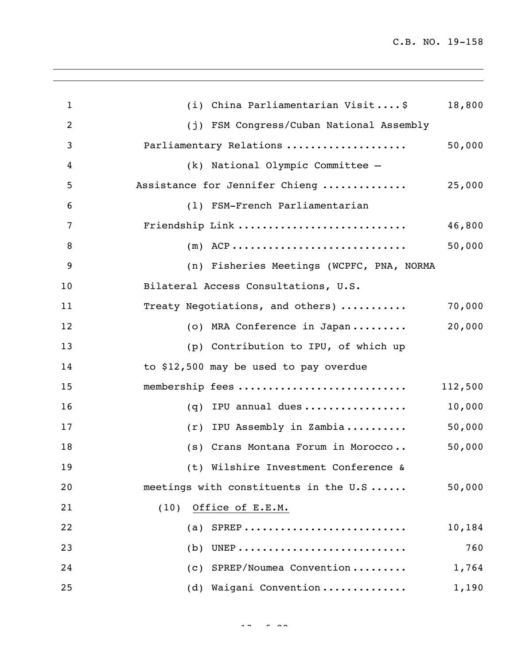| $\mathbf{1}$ | (i) China Parliamentarian Visit\$            | 18,800  |
|--------------|----------------------------------------------|---------|
| 2            | (j) FSM Congress/Cuban National Assembly     |         |
| 3            | Parliamentary Relations                      | 50,000  |
| 4            | (k) National Olympic Committee -             |         |
| 5            | Assistance for Jennifer Chieng               | 25,000  |
| 6            | (1) FSM-French Parliamentarian               |         |
| 7            | Friendship Link                              | 46,800  |
| 8            | $(m)$ ACP                                    | 50,000  |
| 9            | (n) Fisheries Meetings (WCPFC, PNA, NORMA    |         |
| 10           | Bilateral Access Consultations, U.S.         |         |
| 11           | Treaty Negotiations, and others)             | 70,000  |
| 12           | (o) MRA Conference in Japan                  | 20,000  |
| 13           | (p) Contribution to IPU, of which up         |         |
| 14           | to \$12,500 may be used to pay overdue       |         |
| 15           | membership fees                              | 112,500 |
| 16           | IPU annual dues<br>(q)                       | 10,000  |
| 17           | IPU Assembly in Zambia<br>(r)                | 50,000  |
| 18           | (s) Crans Montana Forum in Morocco           | 50,000  |
| 19           | (t) Wilshire Investment Conference &         |         |
| 20           | meetings with constituents in the U.S        | 50,000  |
| 21           | Office of E.E.M.<br>(10)                     |         |
| 22           | $SPREP$<br>(a)                               | 10,184  |
| 23           | (b)                                          | 760     |
| 24           | SPREP/Noumea Convention<br>$\left( c\right)$ | 1,764   |
| 25           | Waigani Convention<br>(d)                    | 1,190   |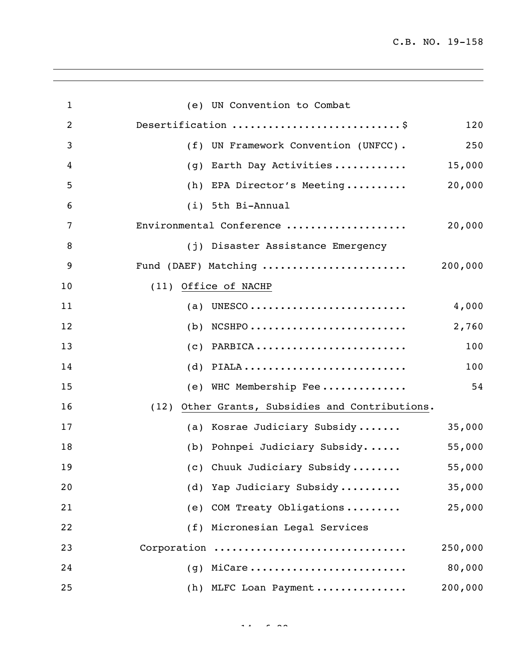| $\mathbf{1}$   | (e) UN Convention to Combat                     |         |
|----------------|-------------------------------------------------|---------|
| $\overline{2}$ | Desertification \$                              | 120     |
| 3              | (f) UN Framework Convention (UNFCC).            | 250     |
| $\overline{4}$ | Earth Day Activities<br>(q)                     | 15,000  |
| 5              | (h) EPA Director's Meeting                      | 20,000  |
| 6              | (i) 5th Bi-Annual                               |         |
| 7              | Environmental Conference                        | 20,000  |
| 8              | (j) Disaster Assistance Emergency               |         |
| 9              | Fund (DAEF) Matching                            | 200,000 |
| 10             | (11) Office of NACHP                            |         |
| 11             | (a) UNESCO                                      | 4,000   |
| 12             | $(b)$ NCSHPO                                    | 2,760   |
| 13             | $(c)$ PARBICA                                   | 100     |
| 14             | $(d)$ PIALA                                     | 100     |
| 15             | (e) WHC Membership Fee                          | 54      |
| 16             | (12) Other Grants, Subsidies and Contributions. |         |
| 17             | (a) Kosrae Judiciary Subsidy                    | 35,000  |
| 18             | (b) Pohnpei Judiciary Subsidy                   | 55,000  |
| 19             | (c) Chuuk Judiciary Subsidy                     | 55,000  |
| 20             | (d) Yap Judiciary Subsidy                       | 35,000  |
| 21             | (e) COM Treaty Obligations                      | 25,000  |
| 22             | (f) Micronesian Legal Services                  |         |
| 23             | Corporation                                     | 250,000 |
| 24             | MiCare<br>(q)                                   | 80,000  |
| 25             | (h) MLFC Loan Payment                           | 200,000 |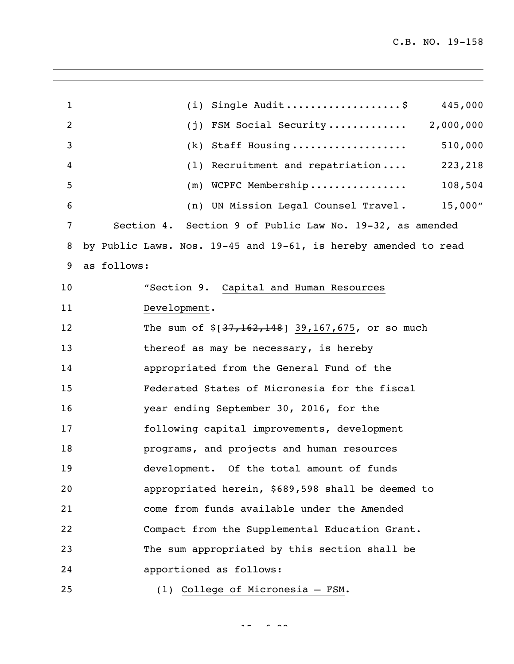| 1  | Single Audit\$<br>445,000<br>(i)                                |
|----|-----------------------------------------------------------------|
| 2  | 2,000,000<br>FSM Social Security<br>(j)                         |
| 3  | 510,000<br>(k)<br>Staff Housing                                 |
| 4  | Recruitment and repatriation<br>223,218<br>(1)                  |
| 5  | WCPFC Membership<br>108,504<br>(m)                              |
| 6  | 15,000''<br>(n) UN Mission Legal Counsel Travel.                |
| 7  | Section 4. Section 9 of Public Law No. 19-32, as amended        |
| 8  | by Public Laws. Nos. 19-45 and 19-61, is hereby amended to read |
| 9  | as follows:                                                     |
| 10 | "Section 9. Capital and Human Resources                         |
| 11 | Development.                                                    |
| 12 | The sum of $\S[37, 162, 148]$ 39,167,675, or so much            |
| 13 | thereof as may be necessary, is hereby                          |
| 14 | appropriated from the General Fund of the                       |
| 15 | Federated States of Micronesia for the fiscal                   |
| 16 | year ending September 30, 2016, for the                         |
| 17 | following capital improvements, development                     |
| 18 | programs, and projects and human resources                      |
| 19 | development. Of the total amount of funds                       |
| 20 | appropriated herein, \$689,598 shall be deemed to               |
| 21 | come from funds available under the Amended                     |
| 22 | Compact from the Supplemental Education Grant.                  |
| 23 | The sum appropriated by this section shall be                   |
| 24 | apportioned as follows:                                         |
| 25 | (1) College of Micronesia - FSM.                                |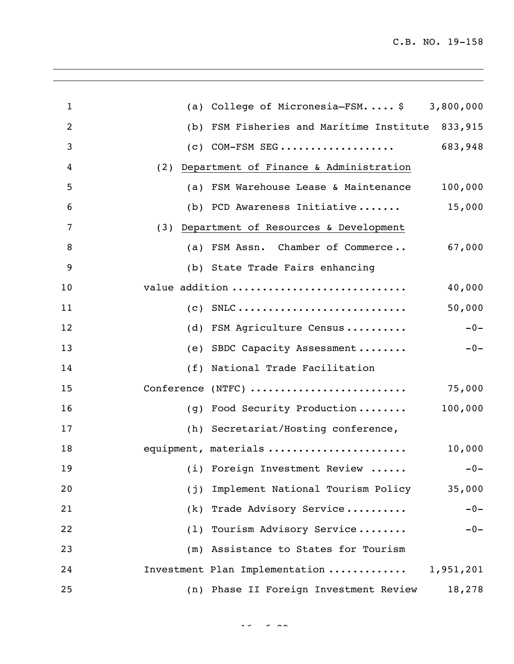| $\mathbf{1}$   |     | (a) College of Micronesia-FSM $\frac{1}{2}$ 3,800,000 |           |
|----------------|-----|-------------------------------------------------------|-----------|
| $\overline{c}$ |     | (b) FSM Fisheries and Maritime Institute              | 833,915   |
| 3              |     | $(c)$ COM-FSM SEG                                     | 683,948   |
| 4              | (2) | Department of Finance & Administration                |           |
| 5              |     | (a) FSM Warehouse Lease & Maintenance                 | 100,000   |
| 6              |     | (b) PCD Awareness Initiative                          | 15,000    |
| 7              |     | (3) Department of Resources & Development             |           |
| 8              |     | (a) FSM Assn. Chamber of Commerce                     | 67,000    |
| 9              |     | (b) State Trade Fairs enhancing                       |           |
| 10             |     | value addition                                        | 40,000    |
| 11             |     | $(C)$ SNLC                                            | 50,000    |
| 12             |     | (d) FSM Agriculture Census                            | $-0-$     |
| 13             |     | (e) SBDC Capacity Assessment                          | $-0-$     |
| 14             | (f) | National Trade Facilitation                           |           |
| 15             |     | Conference (NTFC)                                     | 75,000    |
| 16             | (q) | Food Security Production                              | 100,000   |
| 17             |     | (h) Secretariat/Hosting conference,                   |           |
| 18             |     | equipment, materials                                  | 10,000    |
| 19             |     | (i) Foreign Investment Review                         | $-0-$     |
| 20             | (i) | Implement National Tourism Policy                     | 35,000    |
| 21             | (k) | Trade Advisory Service                                | $-0-$     |
| 22             | (1) | Tourism Advisory Service                              | $-0-$     |
| 23             |     | (m) Assistance to States for Tourism                  |           |
| 24             |     | Investment Plan Implementation                        | 1,951,201 |
| 25             |     | (n) Phase II Foreign Investment Review                | 18,278    |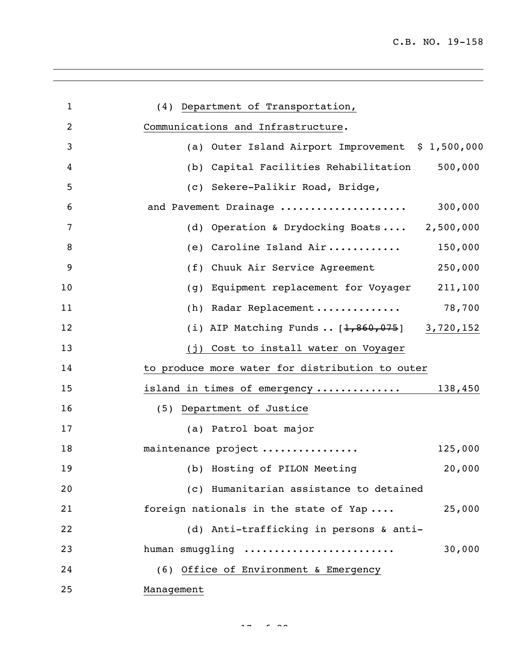| $\mathbf{1}$   | (4) Department of Transportation,                   |
|----------------|-----------------------------------------------------|
| $\overline{2}$ | Communications and Infrastructure.                  |
| 3              | (a) Outer Island Airport Improvement \$ 1,500,000   |
| 4              | 500,000<br>Capital Facilities Rehabilitation<br>(b) |
| 5              | (c) Sekere-Palikir Road, Bridge,                    |
| 6              | and Pavement Drainage<br>300,000                    |
| 7              | (d) Operation & Drydocking Boats 2,500,000          |
| 8              | (e) Caroline Island Air<br>150,000                  |
| 9              | Chuuk Air Service Agreement<br>250,000<br>(f)       |
| 10             | Equipment replacement for Voyager 211,100<br>(g)    |
| 11             | (h) Radar Replacement<br>78,700                     |
| 12             | (i) AIP Matching Funds $[1,860,075]$ 3,720,152      |
| 13             | (j) Cost to install water on Voyager                |
| 14             | to produce more water for distribution to outer     |
| 15             | island in times of emergency<br>138,450             |
| 16             | (5) Department of Justice                           |
| 17             | (a) Patrol boat major                               |
| 18             | maintenance project<br>125,000                      |
| 19             | 20,000<br>(b) Hosting of PILON Meeting              |
| 20             | (c) Humanitarian assistance to detained             |
| 21             | foreign nationals in the state of Yap<br>25,000     |
| 22             | (d) Anti-trafficking in persons & anti-             |
| 23             | 30,000<br>human smuggling                           |
| 24             | (6) Office of Environment & Emergency               |
| 25             | Management                                          |

 $17 - 22$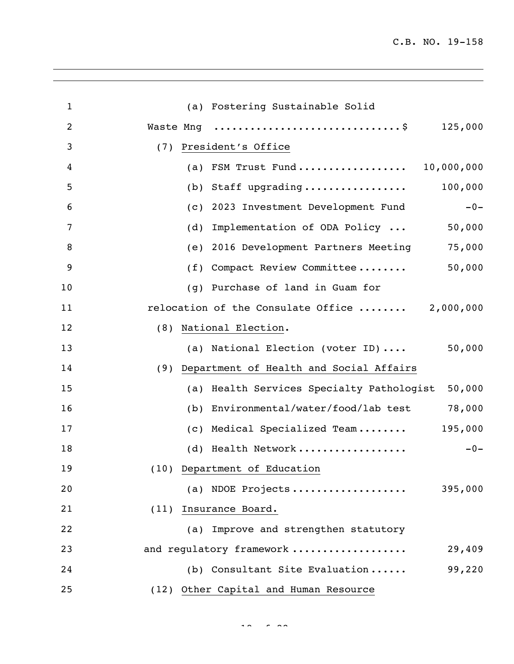| $\mathbf{1}$   | (a) Fostering Sustainable Solid                     |
|----------------|-----------------------------------------------------|
| $\overline{c}$ | Waste Mng \$<br>125,000                             |
| 3              | President's Office<br>(7)                           |
| 4              | FSM Trust Fund 10,000,000<br>(a)                    |
| 5              | 100,000<br>Staff upgrading<br>(b)                   |
| 6              | 2023 Investment Development Fund<br>$-0-$<br>(C)    |
| 7              | Implementation of ODA Policy<br>50,000<br>(d)       |
| 8              | 2016 Development Partners Meeting<br>75,000<br>(e)  |
| 9              | 50,000<br>Compact Review Committee<br>(f)           |
| 10             | Purchase of land in Guam for<br>(q)                 |
| 11             | relocation of the Consulate Office  2,000,000       |
| 12             | National Election.<br>(8)                           |
| 13             | 50,000<br>(a) National Election (voter ID)          |
| 14             | Department of Health and Social Affairs<br>(9)      |
| 15             | (a) Health Services Specialty Pathologist<br>50,000 |
| 16             | Environmental/water/food/lab test<br>78,000<br>(b)  |
| 17             | Medical Specialized Team<br>195,000<br>(C)          |
| 18             | (d) Health Network<br>$-0-$                         |
| 19             | (10) Department of Education                        |
| 20             | (a) NDOE Projects<br>395,000                        |
| 21             | (11) Insurance Board.                               |
| 22             | Improve and strengthen statutory<br>(a)             |
| 23             | and regulatory framework<br>29,409                  |
| 24             | (b) Consultant Site Evaluation<br>99,220            |
| 25             | (12) Other Capital and Human Resource               |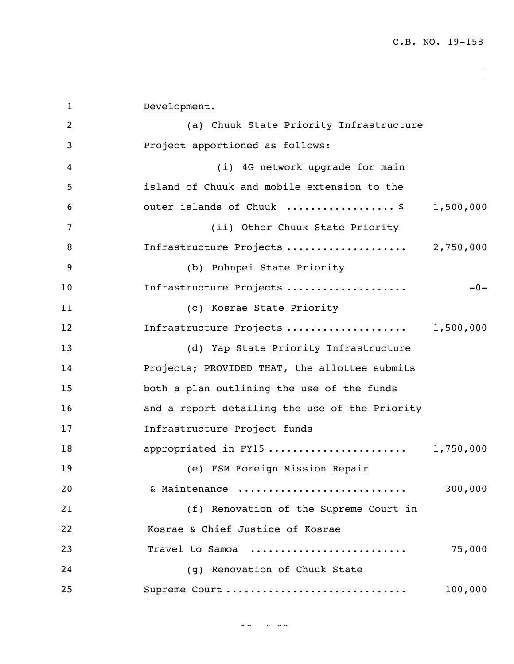| $\mathbf{1}$   | Development.                                   |           |
|----------------|------------------------------------------------|-----------|
| $\overline{c}$ | (a) Chuuk State Priority Infrastructure        |           |
| 3              | Project apportioned as follows:                |           |
| 4              | (i) 4G network upgrade for main                |           |
| 5              | island of Chuuk and mobile extension to the    |           |
| 6              | outer islands of Chuuk \$ 1,500,000            |           |
| 7              | (ii) Other Chuuk State Priority                |           |
| 8              | Infrastructure Projects  2,750,000             |           |
| 9              | (b) Pohnpei State Priority                     |           |
| 10             | Infrastructure Projects                        | $-0-$     |
| 11             | (c) Kosrae State Priority                      |           |
| 12             | Infrastructure Projects  1,500,000             |           |
| 13             | (d) Yap State Priority Infrastructure          |           |
| 14             | Projects; PROVIDED THAT, the allottee submits  |           |
| 15             | both a plan outlining the use of the funds     |           |
| 16             | and a report detailing the use of the Priority |           |
| 17             | Infrastructure Project funds                   |           |
| 18             | appropriated in FY15                           | 1,750,000 |
| 19             | (e) FSM Foreign Mission Repair                 |           |
| 20             | & Maintenance                                  | 300,000   |
| 21             | (f) Renovation of the Supreme Court in         |           |
| 22             | Kosrae & Chief Justice of Kosrae               |           |
| 23             | Travel to Samoa                                | 75,000    |
| 24             | (q) Renovation of Chuuk State                  |           |
| 25             | Supreme Court                                  | 100,000   |
|                |                                                |           |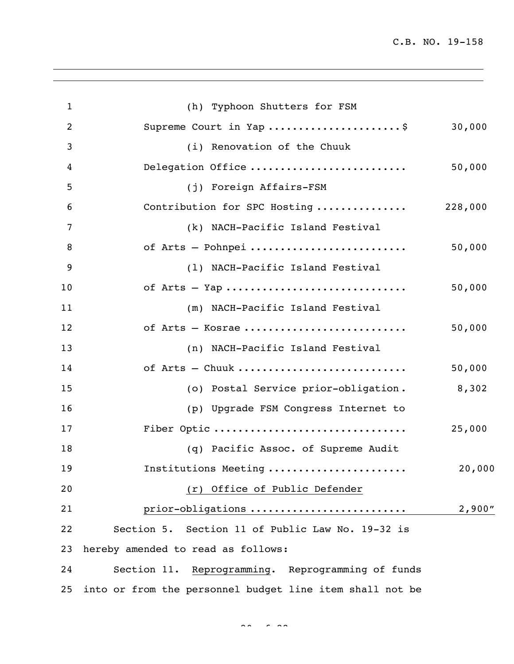| $\mathbf{1}$ | (h) Typhoon Shutters for FSM                             |         |
|--------------|----------------------------------------------------------|---------|
| 2            | Supreme Court in Yap \$                                  | 30,000  |
| 3            | (i) Renovation of the Chuuk                              |         |
| 4            | Delegation Office                                        | 50,000  |
| 5            | (j) Foreign Affairs-FSM                                  |         |
| 6            | Contribution for SPC Hosting                             | 228,000 |
| 7            | (k) NACH-Pacific Island Festival                         |         |
| 8            | of Arts - Pohnpei                                        | 50,000  |
| 9            | (1) NACH-Pacific Island Festival                         |         |
| 10           |                                                          | 50,000  |
| 11           | (m) NACH-Pacific Island Festival                         |         |
| 12           | of Arts - Kosrae                                         | 50,000  |
| 13           | (n) NACH-Pacific Island Festival                         |         |
| 14           | of Arts - Chuuk                                          | 50,000  |
| 15           | (o) Postal Service prior-obligation.                     | 8,302   |
| 16           | (p) Upgrade FSM Congress Internet to                     |         |
| 17           | Fiber Optic                                              | 25,000  |
| 18           | (q) Pacific Assoc. of Supreme Audit                      |         |
| 19           | Institutions Meeting                                     | 20,000  |
| 20           | (r) Office of Public Defender                            |         |
| 21           | prior-obligations                                        | 2,900"  |
| 22           | Section 5. Section 11 of Public Law No. 19-32 is         |         |
| 23           | hereby amended to read as follows:                       |         |
| 24           | Section 11. Reprogramming. Reprogramming of funds        |         |
| 25           | into or from the personnel budget line item shall not be |         |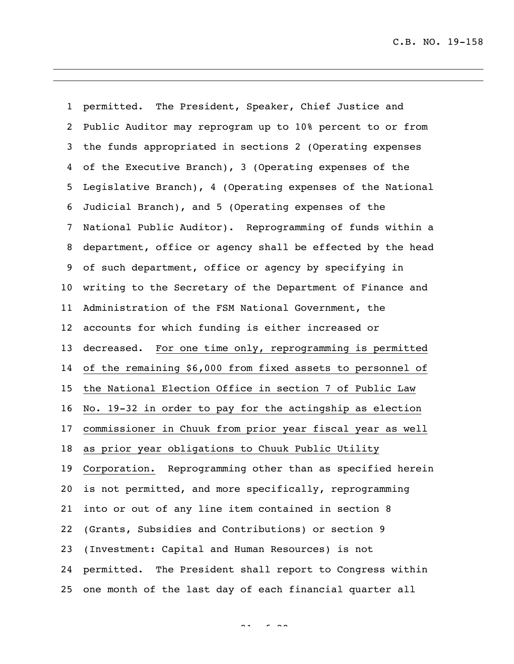permitted. The President, Speaker, Chief Justice and Public Auditor may reprogram up to 10% percent to or from the funds appropriated in sections 2 (Operating expenses of the Executive Branch), 3 (Operating expenses of the Legislative Branch), 4 (Operating expenses of the National Judicial Branch), and 5 (Operating expenses of the National Public Auditor). Reprogramming of funds within a department, office or agency shall be effected by the head of such department, office or agency by specifying in writing to the Secretary of the Department of Finance and Administration of the FSM National Government, the accounts for which funding is either increased or decreased. For one time only, reprogramming is permitted of the remaining \$6,000 from fixed assets to personnel of the National Election Office in section 7 of Public Law No. 19-32 in order to pay for the actingship as election commissioner in Chuuk from prior year fiscal year as well as prior year obligations to Chuuk Public Utility Corporation. Reprogramming other than as specified herein is not permitted, and more specifically, reprogramming into or out of any line item contained in section 8 (Grants, Subsidies and Contributions) or section 9 (Investment: Capital and Human Resources) is not permitted. The President shall report to Congress within one month of the last day of each financial quarter all

 $\sim$  22